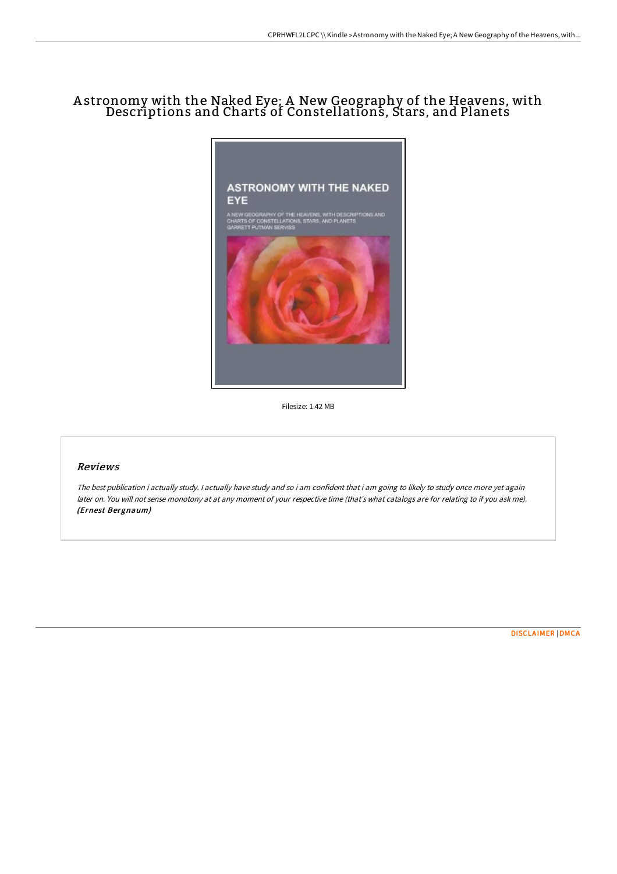# A stronomy with the Naked Eye; A New Geography of the Heavens, with Descriptions and Charts of Constellations, Stars, and Planets



Filesize: 1.42 MB

#### Reviews

The best publication i actually study. <sup>I</sup> actually have study and so i am confident that i am going to likely to study once more yet again later on. You will not sense monotony at at any moment of your respective time (that's what catalogs are for relating to if you ask me). (Ernest Bergnaum)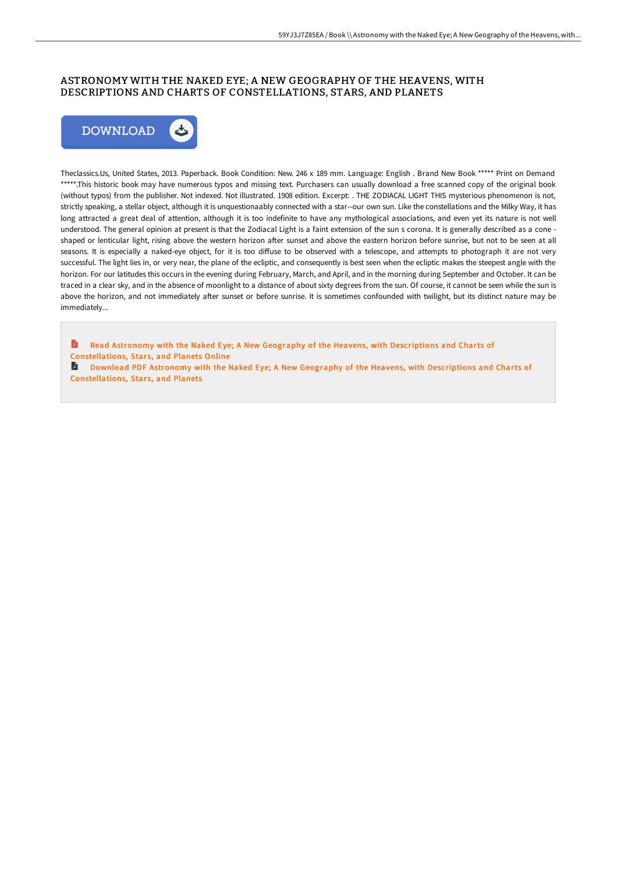### ASTRONOMY WITH THE NAKED EYE; A NEW GEOGRAPHY OF THE HEAVENS, WITH DESCRIPTIONS AND CHARTS OF CONSTELLATIONS, STARS, AND PLANETS



Theclassics.Us, United States, 2013. Paperback. Book Condition: New. 246 x 189 mm. Language: English . Brand New Book \*\*\*\*\* Print on Demand \*\*\*\*\*.This historic book may have numerous typos and missing text. Purchasers can usually download a free scanned copy of the original book (without typos) from the publisher. Not indexed. Not illustrated. 1908 edition. Excerpt: . THE ZODIACAL LIGHT THIS mysterious phenomenon is not, strictly speaking, a stellar object, although it is unquestionaably connected with a star--our own sun. Like the constellations and the Milky Way, it has long attracted a great deal of attention, although it is too indefinite to have any mythological associations, and even yet its nature is not well understood. The general opinion at present is that the Zodiacal Light is a faint extension of the sun s corona. It is generally described as a cone shaped or lenticular light, rising above the western horizon after sunset and above the eastern horizon before sunrise, but not to be seen at all seasons. It is especially a naked-eye object, for it is too diffuse to be observed with a telescope, and attempts to photograph it are not very successful. The light lies in, or very near, the plane of the ecliptic, and consequently is best seen when the ecliptic makes the steepest angle with the horizon. For our latitudes this occurs in the evening during February, March, and April, and in the morning during September and October. It can be traced in a clear sky, and in the absence of moonlight to a distance of about sixty degrees from the sun. Of course, it cannot be seen while the sun is above the horizon, and not immediately after sunset or before sunrise. It is sometimes confounded with twilight, but its distinct nature may be immediately...

D Read Astronomy with the Naked Eye; A New Geography of the Heavens, with Descriptions and Charts of [Constellations,](http://albedo.media/astronomy-with-the-naked-eye-a-new-geography-of-.html) Stars, and Planets Online

A Download PDF Astronomy with the Naked Eye; A New Geography of the Heavens, with Descriptions and Charts of [Constellations,](http://albedo.media/astronomy-with-the-naked-eye-a-new-geography-of-.html) Stars, and Planets